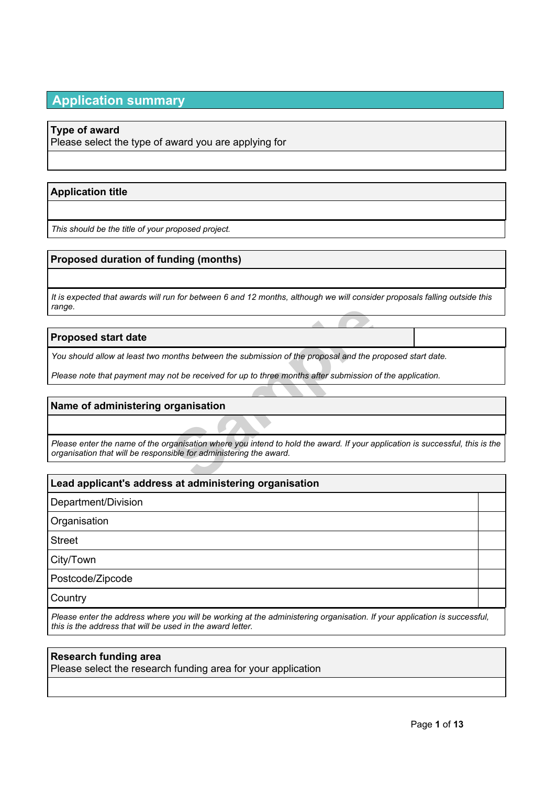# **Application summary**

### **Type of award**

Please select the type of award you are applying for

### **Application title**

*This should be the title of your proposed project.*

### **Proposed duration of funding (months)**

It is expected that awards will run for between 6 and 12 months, although we will consider proposals falling outside this *range.*

### **Proposed start date**

You should allow at least two months between the submission of the proposal and the proposed start date.

Please note that payment may not be received for up to three months after submission of the application.

### **Name of administering organisation**

Figures on the submission of the proposal and the proposal<br>
not be received for up to three months after submission of the<br> **Samples of the submission where you intend to hold the award.** If your applies<br>
suble for adminis Please enter the name of the organisation where you intend to hold the award. If your application is successful, this is the *organisation that will be responsible for administering the award.*

### **Lead applicant's address at administering organisation**

Department/Division

**Organisation** 

Street

City/Town

Postcode/Zipcode

**Country** 

Please enter the address where you will be working at the administering organisation. If your application is successful, *this is the address that will be used in the award letter.*

### **Research funding area**

Please select the research funding area for your application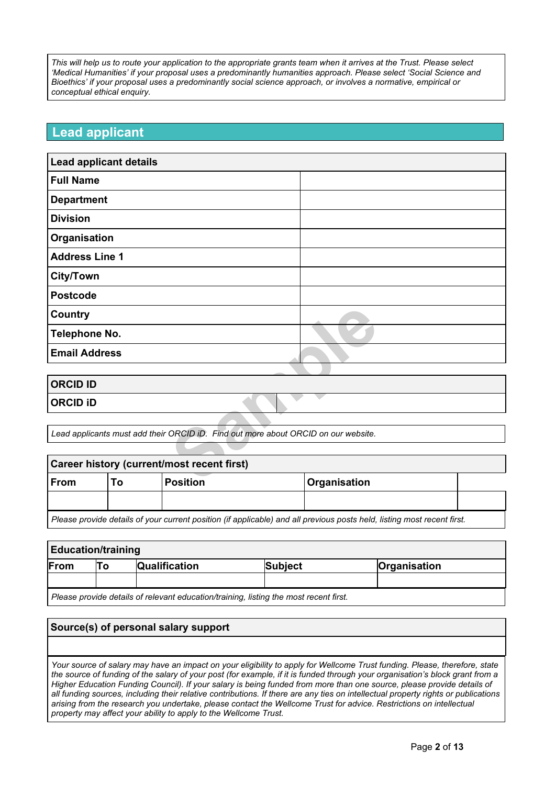This will help us to route your application to the appropriate grants team when it arrives at the Trust. Please select *'Medical Humanities' if your proposal uses a predominantly humanities approach. Please select 'Social Science and Bioethics' if your proposal uses a predominantly social science approach, or involves a normative, empirical or conceptual ethical enquiry.*

## **Lead applicant**

| <b>Lead applicant details</b>                                                      |     |                 |              |  |
|------------------------------------------------------------------------------------|-----|-----------------|--------------|--|
| <b>Full Name</b>                                                                   |     |                 |              |  |
| <b>Department</b>                                                                  |     |                 |              |  |
| <b>Division</b>                                                                    |     |                 |              |  |
| Organisation                                                                       |     |                 |              |  |
| <b>Address Line 1</b>                                                              |     |                 |              |  |
| <b>City/Town</b>                                                                   |     |                 |              |  |
| <b>Postcode</b>                                                                    |     |                 |              |  |
| <b>Country</b>                                                                     |     |                 |              |  |
| <b>Telephone No.</b>                                                               |     |                 |              |  |
| <b>Email Address</b>                                                               |     |                 |              |  |
|                                                                                    |     |                 |              |  |
| <b>ORCID ID</b>                                                                    |     |                 |              |  |
| <b>ORCID ID</b>                                                                    |     |                 |              |  |
|                                                                                    |     |                 |              |  |
| Lead applicants must add their ORCID iD. Find out more about ORCID on our website. |     |                 |              |  |
|                                                                                    |     |                 |              |  |
| Career history (current/most recent first)                                         |     |                 |              |  |
| Erom                                                                               | TΛ. | <b>Docition</b> | Oragnication |  |

| <b>ORCID ID</b> |  |
|-----------------|--|
| <b>ORCID ID</b> |  |
|                 |  |

| Career history (current/most recent first)                                                                              |  |                 |                     |  |
|-------------------------------------------------------------------------------------------------------------------------|--|-----------------|---------------------|--|
| <b>From</b>                                                                                                             |  | <b>Position</b> | <b>Organisation</b> |  |
|                                                                                                                         |  |                 |                     |  |
| Please provide details of your current position (if applicable) and all previous posts held, listing most recent first. |  |                 |                     |  |

| <b>Education/training</b>                                                             |    |                      |         |              |
|---------------------------------------------------------------------------------------|----|----------------------|---------|--------------|
| From                                                                                  | Т٥ | <b>Qualification</b> | Subject | Organisation |
|                                                                                       |    |                      |         |              |
| Please provide details of relevant education/training, listing the most recent first. |    |                      |         |              |

### **Source(s) of personal salary support**

Your source of salary may have an impact on your eligibility to apply for Wellcome Trust funding. Please, therefore, state the source of funding of the salary of your post (for example, if it is funded through your organisation's block grant from a Higher Education Funding Council). If your salary is being funded from more than one source, please provide details of all funding sources, including their relative contributions. If there are any ties on intellectual property rights or publications arising from the research you undertake, please contact the Wellcome Trust for advice. Restrictions on intellectual *property may affect your ability to apply to the Wellcome Trust.*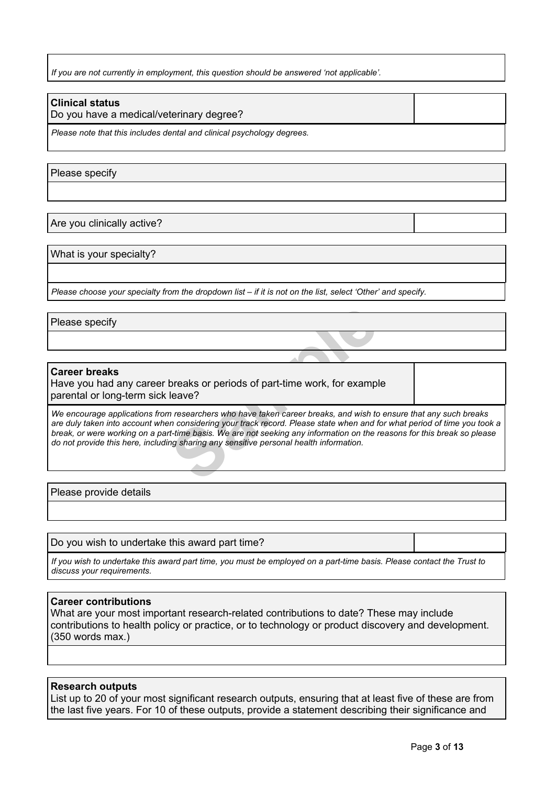*If you are not currently in employment, this question should be answered 'not applicable'.*

### **Clinical status**

Do you have a medical/veterinary degree?

*Please note that this includes dental and clinical psychology degrees.*

Please specify

Are you clinically active?

What is your specialty?

Please choose your specialty from the dropdown list - if it is not on the list, select 'Other' and specify.

Please specify

#### **Career breaks**

Have you had any career breaks or periods of part-time work, for example parental or long-term sick leave?

breaks or periods of part-time work, for exampleave?<br>
In researchers who have taken career breaks, and wish to<br>
In considering your track record. Please state when and fit-time basis. We are not seeking any information on We encourage applications from researchers who have taken career breaks, and wish to ensure that any such breaks are duly taken into account when considering your track record. Please state when and for what period of time you took a break, or were working on a part-time basis. We are not seeking any information on the reasons for this break so please *do not provide this here, including sharing any sensitive personal health information.*

Please provide details

Do you wish to undertake this award part time?

If you wish to undertake this award part time, you must be employed on a part-time basis. Please contact the Trust to *discuss your requirements.*

#### **Career contributions**

What are your most important research-related contributions to date? These may include contributions to health policy or practice, or to technology or product discovery and development. (350 words max.)

#### **Research outputs**

List up to 20 of your most significant research outputs, ensuring that at least five of these are from the last five years. For 10 of these outputs, provide a statement describing their significance and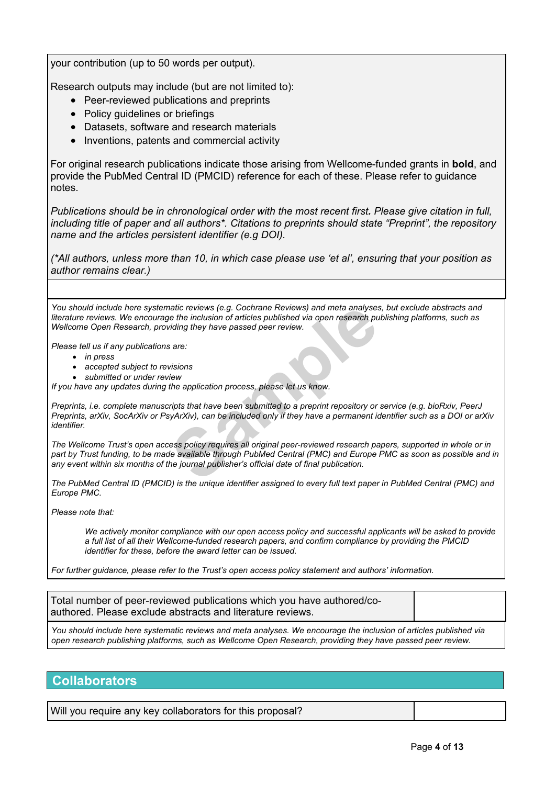your contribution (up to 50 words per output).

Research outputs may include (but are not limited to):

- Peer-reviewed publications and preprints
- Policy guidelines or briefings
- Datasets, software and research materials
- Inventions, patents and commercial activity

For original research publications indicate those arising from Wellcome-funded grants in **bold**, and provide the PubMed Central ID (PMCID) reference for each of these. Please refer to guidance notes.

*Publications should be in chronological order with the most recent first. Please give citation in full, including title of paper and all authors\*. Citations to preprints should state "Preprint", the repository name and the articles persistent identifier (e.g DOI).*

(\*All authors, unless more than 10, in which case please use 'et al', ensuring that your position as *author remains clear.)*

*You should include here systematic reviews (e.g. Cochrane Reviews) and meta analyses, but exclude abstracts and* literature reviews. We encourage the inclusion of articles published via open research publishing platforms, such as *Wellcome Open Research, providing they have passed peer review.*

*Please tell us if any publications are:*

- *in press*
- *accepted subject to revisions*
- *submitted or under review*
- *If you have any updates during the application process, please let us know.*

Preprints, i.e. complete manuscripts that have been submitted to a preprint repository or service (e.g. bioRxiv, PeerJ Preprints, arXiv, SocArXiv or PsyArXiv), can be included only if they have a permanent identifier such as a DOI or arXiv *identifier.*

natic reviews (e.g. Cochrane Reviews) and meta analyses<br>
te the inclusion of articles published via open research pu<br>
iding they have passed peer review.<br>
Sare:<br>
Sare:<br>
Sare:<br>
Sare:<br>
Sare:<br>
Sare:<br>
Sare:<br>
Sare:<br>
Sare:<br>
Sare The Wellcome Trust's open access policy requires all original peer-reviewed research papers, supported in whole or in part by Trust funding, to be made available through PubMed Central (PMC) and Europe PMC as soon as possible and in *any event within six months of the journal publisher's official date of final publication.*

The PubMed Central ID (PMCID) is the unique identifier assigned to every full text paper in PubMed Central (PMC) and *Europe PMC.*

*Please note that:*

We actively monitor compliance with our open access policy and successful applicants will be asked to provide *a full list of all their Wellcome-funded research papers, and confirm compliance by providing the PMCID identifier for these, before the award letter can be issued.*

*For further guidance, please refer to the Trust's open access policy [statement](http://www.wellcome.ac.uk/funding/managing-grant/open-access-policy) and authors' [information.](http://www.wellcome.ac.uk/funding/managing-grant/open-access-information-authors)*

| Total number of peer-reviewed publications which you have authored/co-<br>authored. Please exclude abstracts and literature reviews. |  |  |
|--------------------------------------------------------------------------------------------------------------------------------------|--|--|
| l Ven chentalischen beseichneite seitene erabsete erabsere. 147. erabssere der inchriter af estielen schlichenteil                   |  |  |

You should include here systematic reviews and meta analyses. We encourage the inclusion of articles published via *open research publishing platforms, such as Wellcome Open Research, providing they have passed peer review.*

## **Collaborators**

Will you require any key collaborators for this proposal?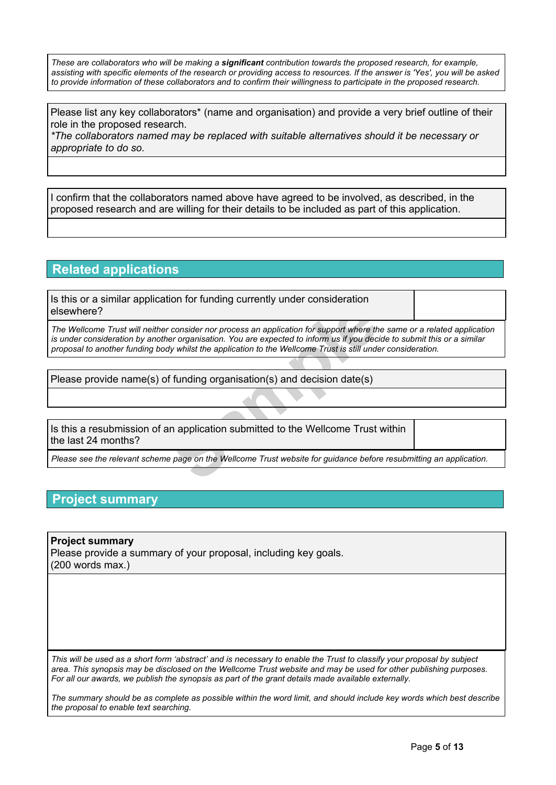These are collaborators who will be making a significant contribution towards the proposed research, for example, assisting with specific elements of the research or providing access to resources. If the answer is 'Yes', you will be asked to provide information of these collaborators and to confirm their willingness to participate in the proposed research.

Please list any key collaborators\* (name and organisation) and provide a very brief outline of their role in the proposed research.

*\*The collaborators named may be replaced with suitable alternatives should it be necessary or appropriate to do so.*

I confirm that the collaborators named above have agreed to be involved, as described, in the proposed research and are willing for their details to be included as part of this application.

## **Related applications**

Is this or a similar application for funding currently under consideration elsewhere?

Franchieve Consider nor process an application for support where the<br>
Eurorganisation. You are expected to inform us if you declined<br>
In the application to the Wellcome Trust is still under<br>
In the discussion (s) and decis The Wellcome Trust will neither consider nor process an application for support where the same or a related application is under consideration by another organisation. You are expected to inform us if you decide to submit this or a similar *proposal to another funding body whilst the application to the Wellcome Trust is still under consideration.*

Please provide name(s) of funding organisation(s) and decision date(s)

Is this a resubmission of an application submitted to the Wellcome Trust within the last 24 months?

Please see the relevant scheme page on the Wellcome Trust website for guidance before resubmitting an application.

## **Project summary**

**Project summary** Please provide a summary of your proposal, including key goals. (200 words max.)

This will be used as a short form 'abstract' and is necessary to enable the Trust to classify your proposal by subject area. This synopsis may be disclosed on the Wellcome Trust website and may be used for other publishing purposes. *For all our awards, we publish the synopsis as part of the grant details made available externally.*

The summary should be as complete as possible within the word limit, and should include key words which best describe *the proposal to enable text searching.*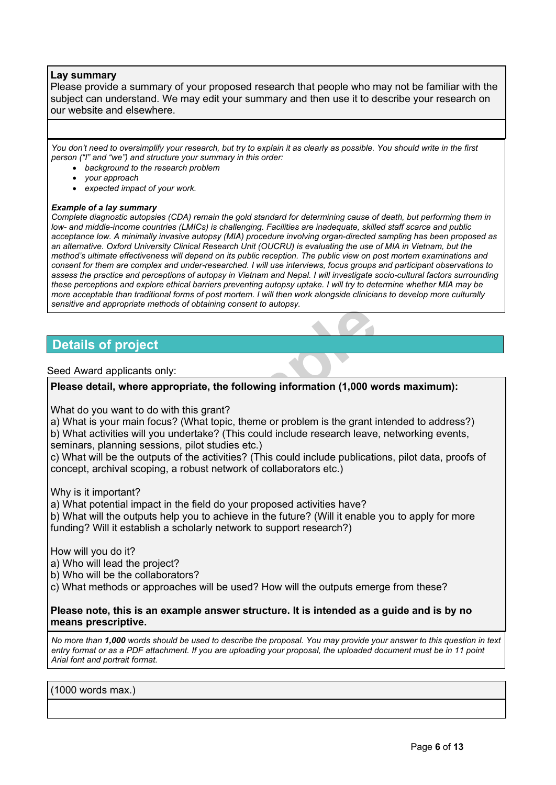### **Lay summary**

Please provide a summary of your proposed research that people who may not be familiar with the subject can understand. We may edit your summary and then use it to describe your research on our website and elsewhere.

You don't need to oversimplify your research, but try to explain it as clearly as possible. You should write in the first *person ("I" and "we") and structure your summary in this order:*

- *background to the research problem*
- *your approach*
- *expected impact of your work.*

#### *Example of a lay summary*

Complete diagnostic autopsies (CDA) remain the gold standard for determining cause of death, but performing them in *low- and middle-income countries (LMICs) is challenging. Facilities are inadequate, skilled staff scarce and public acceptance low. A minimally invasive autopsy (MIA) procedure involving organ-directed sampling has been proposed as* an alternative. Oxford University Clinical Research Unit (OUCRU) is evaluating the use of MIA in Vietnam, but the method's ultimate effectiveness will depend on its public reception. The public view on post mortem examinations and consent for them are complex and under-researched. I will use interviews, focus groups and participant observations to assess the practice and perceptions of autopsy in Vietnam and Nepal. I will investigate socio-cultural factors surrounding these perceptions and explore ethical barriers preventing autopsy uptake. I will try to determine whether MIA may be more acceptable than traditional forms of post mortem. I will then work alongside clinicians to develop more culturally *sensitive and appropriate methods of obtaining consent to autopsy.*

## **Details of project**

### Seed Award applicants only:

### **Please detail, where appropriate, the following information (1,000 words maximum):**

What do you want to do with this grant?

**Sample Constanting Consent to adtopty).**<br> **Sample Consenting Consent to adtopty).**<br> **Sample Transferies:**<br> **Sample Transferies:**<br> **Sample Transferies:**<br> **Sample Transferies:**<br> **Sample Transferies:**<br> **Sample Transferies:**<br> a) What is your main focus? (What topic, theme or problem is the grant intended to address?) b) What activities will you undertake? (This could include research leave, networking events, seminars, planning sessions, pilot studies etc.)

c) What will be the outputs of the activities? (This could include publications, pilot data, proofs of concept, archival scoping, a robust network of collaborators etc.)

Why is it important?

a) What potential impact in the field do your proposed activities have?

b) What will the outputs help you to achieve in the future? (Will it enable you to apply for more funding? Will it establish a scholarly network to support research?)

How will you do it?

a) Who will lead the project?

b) Who will be the collaborators?

c) What methods or approaches will be used? How will the outputs emerge from these?

### **Please note, this is an example answer structure. It is intended as a guide and is by no means prescriptive.**

No more than 1,000 words should be used to describe the proposal. You may provide your answer to this question in text entry format or as a PDF attachment. If you are uploading your proposal, the uploaded document must be in 11 point *Arial font and portrait format.*

### (1000 words max.)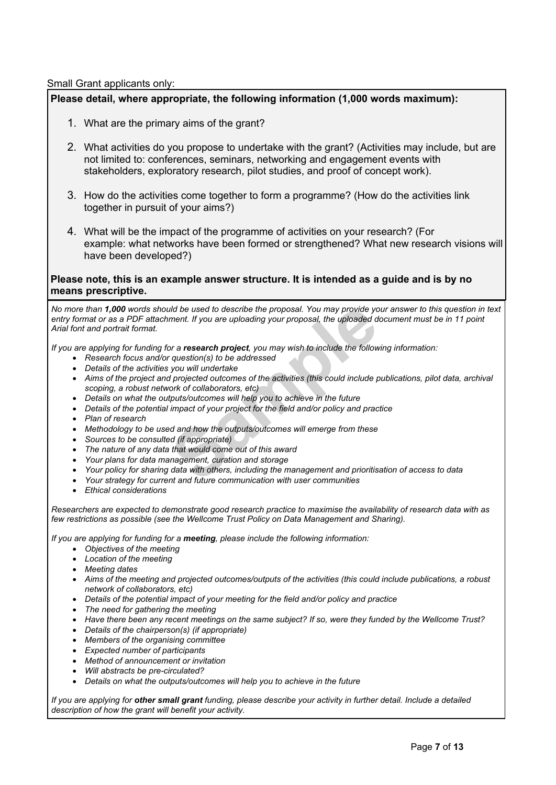Small Grant applicants only:

### **Please detail, where appropriate, the following information (1,000 words maximum):**

- 1. What are the primary aims of the grant?
- 2. What activities do you propose to undertake with the grant? (Activities may include, but are not limited to: conferences, seminars, networking and engagement events with stakeholders, exploratory research, pilot studies, and proof of concept work).
- 3. How do the activities come together to form a programme? (How do the activities link together in pursuit of your aims?)
- 4. What will be the impact of the programme of activities on your research? (For example: what networks have been formed or strengthened? What new research visions will have been developed?)

### **Please note, this is an example answer structure. It is intended as a guide and is by no means prescriptive.**

and be used to describe the proposal. You may provide yo<br>ment. If you are uploading your proposal, the uploaded do<br>provide the follow<br>crosscale of the addressed<br>you will undertake<br>projected outcomes of the activities (this No more than 1,000 words should be used to describe the proposal. You may provide your answer to this question in text entry format or as a PDF attachment. If you are uploading your proposal, the uploaded document must be in 11 point *Arial font and portrait format.*

If you are applying for funding for a research project, you may wish to include the following information:

- *Research focus and/or question(s) to be addressed*
- *Details of the activities you will undertake*
- Aims of the project and projected outcomes of the activities (this could include publications, pilot data, archival *scoping, a robust network of collaborators, etc)*
- *Details on what the outputs/outcomes will help you to achieve in the future*
- *Details of the potential impact of your project for the field and/or policy and practice*
- *Plan of research*
- *Methodology to be used and how the outputs/outcomes will emerge from these*
- *Sources to be consulted (if appropriate)*
- *The nature of any data that would come out of this award*
- *Your plans for data management, curation and storage*
- *Your policy for sharing data with others, including the management and prioritisation of access to data*
- *Your strategy for current and future communication with user communities*
- *Ethical considerations*

Researchers are expected to demonstrate good research practice to maximise the availability of research data with as *few restrictions as possible (see the Wellcome Trust Policy on Data [Management](http://www.wellcome.ac.uk/funding/managing-grant/policy-data-management-and-sharing) and Sharing).*

*If you are applying for funding for a meeting, please include the following information:*

- *Objectives of the meeting*
- *Location of the meeting*
- *Meeting dates*
- *Aims of the meeting and projected outcomes/outputs of the activities (this could include publications, a robust network of collaborators, etc)*
- *Details of the potential impact of your meeting for the field and/or policy and practice*
- *The need for gathering the meeting*
- Have there been any recent meetings on the same subject? If so, were they funded by the Wellcome Trust?
- *Details of the chairperson(s) (if appropriate)*
- *Members of the organising committee*
- *Expected number of participants*
- *Method of announcement or invitation*
- *Will abstracts be pre-circulated?*
- *Details on what the outputs/outcomes will help you to achieve in the future*

If you are applying for other small grant funding, please describe your activity in further detail. Include a detailed *description of how the grant will benefit your activity.*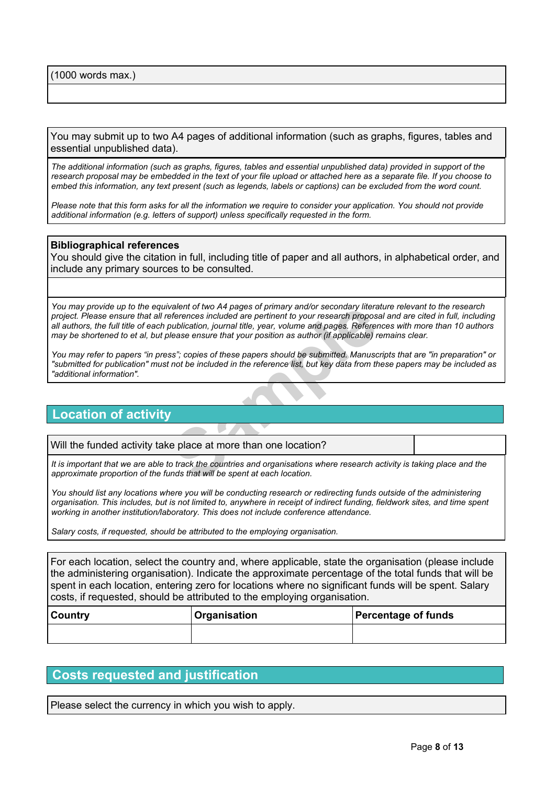(1000 words max.)

You may submit up to two A4 pages of additional information (such as graphs, figures, tables and essential unpublished data).

The additional information (such as graphs, figures, tables and essential unpublished data) provided in support of the research proposal may be embedded in the text of your file upload or attached here as a separate file. If you choose to embed this information, any text present (such as legends, labels or captions) can be excluded from the word count.

Please note that this form asks for all the information we require to consider your application. You should not provide *additional information (e.g. letters of support) unless specifically requested in the form.*

### **Bibliographical references**

You should give the citation in full, including title of paper and all authors, in alphabetical order, and include any primary sources to be consulted.

valent of two A4 pages of primary and/or secondary litera<br>eferences included are pertinent to your research proposa<br>sublication, journal title, year, volume and pages. Referer<br>lease ensure that your position as author (if You may provide up to the equivalent of two A4 pages of primary and/or secondary literature relevant to the research project. Please ensure that all references included are pertinent to your research proposal and are cited in full, including all authors, the full title of each publication, journal title, year, volume and pages. References with more than 10 authors may be shortened to et al. but please ensure that your position as author (if applicable) remains clear.

You may refer to papers "in press"; copies of these papers should be submitted. Manuscripts that are "in preparation" or "submitted for publication" must not be included in the reference list, but key data from these papers may be included as *"additional information".*

## **Location of activity**

|  | Will the funded activity take place at more than one location? |  |
|--|----------------------------------------------------------------|--|
|--|----------------------------------------------------------------|--|

It is important that we are able to track the countries and organisations where research activity is taking place and the *approximate proportion of the funds that will be spent at each location.*

You should list any locations where you will be conducting research or redirecting funds outside of the administering organisation. This includes, but is not limited to, anywhere in receipt of indirect funding, fieldwork sites, and time spent *working in another institution/laboratory. This does not include conference attendance.*

*Salary costs, if requested, should be attributed to the employing organisation.*

For each location, select the country and, where applicable, state the organisation (please include the administering organisation). Indicate the approximate percentage of the total funds that will be spent in each location, entering zero for locations where no significant funds will be spent. Salary costs, if requested, should be attributed to the employing organisation.

| <b>Country</b> | Organisation | <b>Percentage of funds</b> |
|----------------|--------------|----------------------------|
|                |              |                            |

## **Costs requested and justification**

Please select the currency in which you wish to apply.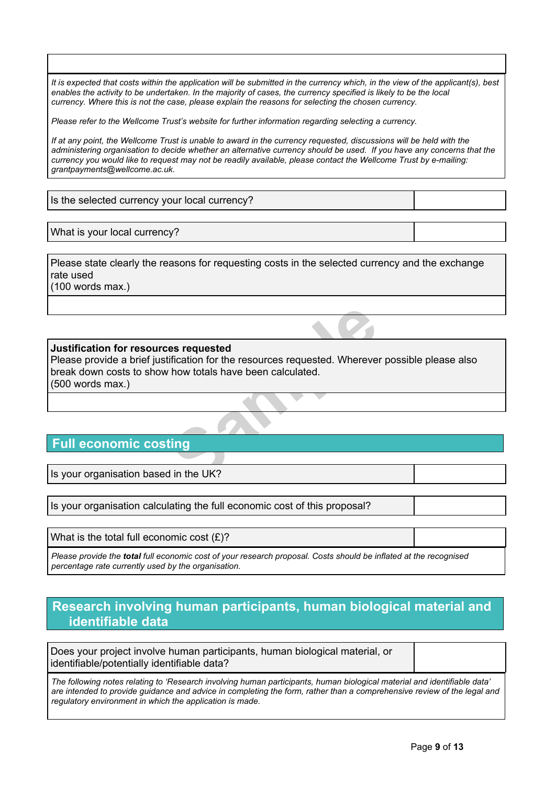It is expected that costs within the application will be submitted in the currency which, in the view of the applicant(s), best enables the activity to be undertaken. In the maiority of cases, the currency specified is likely to be the local *currency. Where this is not the case, please explain the reasons for selecting the chosen currency.*

*Please refer to the Wellcome Trust's [website](http://www.wellcome.ac.uk/funding/currency-issues) for further information regarding selecting a currency.*

If at any point, the Wellcome Trust is unable to award in the currency requested, discussions will be held with the administering organisation to decide whether an alternative currency should be used. If you have any concerns that the currency you would like to request may not be readily available, please contact the Wellcome Trust by e-mailing: *[grantpayments@wellcome.ac.uk](mailto:grantpayments@wellcome.ac.uk).*

Is the selected currency your local currency?

What is your local currency?

Please state clearly the reasons for requesting costs in the selected currency and the exchange rate used

(100 words max.)

### **Justification for resources requested**

**Sample**Please provide a brief justification for the resources requested. Wherever possible please also break down costs to show how totals have been calculated. (500 words max.)

# **Full economic costing**

Is your organisation based in the UK?

Is your organisation calculating the full economic cost of this proposal?

What is the total full economic cost  $(E)$ ?

Please provide the total full economic cost of your research proposal. Costs should be inflated at the recognised *percentage rate currently used by the organisation.*

## **Research involving human participants, human biological material and identifiable data**

Does your project involve human participants, human biological material, or identifiable/potentially identifiable data?

The following notes relating to 'Research involving human participants, human biological material and identifiable data' are intended to provide quidance and advice in completing the form, rather than a comprehensive review of the legal and *regulatory environment in which the application is made.*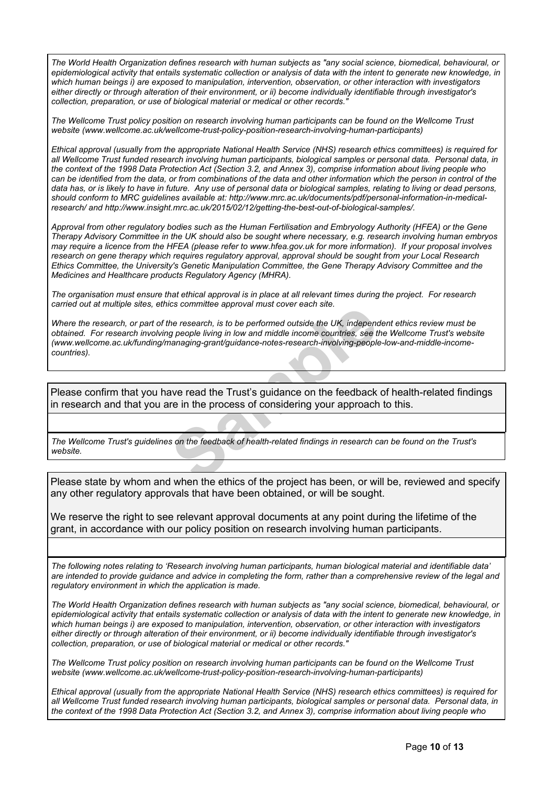The World Health Organization defines research with human subjects as "any social science, biomedical, behavioural, or epidemiological activity that entails systematic collection or analysis of data with the intent to generate new knowledge, in *which human beings i) are exposed to manipulation, intervention, observation, or other interaction with investigators* either directly or through alteration of their environment, or ii) become individually identifiable through investigator's *collection, preparation, or use of biological material or medical or other records."*

The Wellcome Trust policy position on research involving human participants can be found on the Wellcome Trust *website ([www.wellcome.ac.uk/wellcome-trust-policy-position-research-involving-human-participants\)](http://www.wellcome.ac.uk/wellcome-trust-policy-position-research-involving-human-participants)*

Ethical approval (usually from the appropriate National Health Service (NHS) research ethics committees) is required for all Wellcome Trust funded research involving human participants, biological samples or personal data. Personal data, in the context of the 1998 Data Protection Act (Section 3.2, and Annex 3), comprise information about living people who can be identified from the data, or from combinations of the data and other information which the person in control of the data has, or is likely to have in future. Any use of personal data or biological samples, relating to living or dead persons, *should conform to MRC guidelines available at: [http://www.mrc.ac.uk/documents/pdf/personal-information-in-medical](http://www.mrc.ac.uk/documents/pdf/personal-information-in-medical-research/)[research/](http://www.mrc.ac.uk/documents/pdf/personal-information-in-medical-research/) and [http://www.insight.mrc.ac.uk/2015/02/12/getting-the-best-out-of-biological-samples/.](http://www.insight.mrc.ac.uk/2015/02/12/getting-the-best-out-of-biological-samples/)*

Approval from other regulatory bodies such as the Human Fertilisation and Embryology Authority (HFEA) or the Gene Therapy Advisory Committee in the UK should also be sought where necessary, e.g. research involving human embryos may require a licence from the HFEA (please refer to [www.hfea.gov.uk](http://www.hfea.gov.uk/) for more information). If your proposal involves *research on gene therapy which requires regulatory approval, approval should be sought from your Local Research Ethics Committee, the University's Genetic Manipulation Committee, the Gene Therapy Advisory Committee and the Medicines and Healthcare products Regulatory Agency (MHRA).*

The organisation must ensure that ethical approval is in place at all relevant times during the project. For research *carried out at multiple sites, ethics committee approval must cover each site.*

the research, is to be performed outside the UK, independs people living in low and middle income countries, see the managing-grant/guidance-notes-research-involving-people<br>ananaging-grant/guidance-notes-research-involving Where the research, or part of the research, is to be performed outside the UK, independent ethics review must be obtained. For research involving people living in low and middle income countries, see the Wellcome Trust's website *([www.wellcome.ac.uk/funding/managing-grant/guidance-notes-research-involving-people-low-and-middle-income](http://www.wellcome.ac.uk/funding/managing-grant/guidance-notes-research-involving-people-low-and-middle-income-countries)[countries](http://www.wellcome.ac.uk/funding/managing-grant/guidance-notes-research-involving-people-low-and-middle-income-countries)).*

Please confirm that you have read the Trust's guidance on the feedback of health-related findings in research and that you are in the process of considering your approach to this.

The Wellcome Trust's guidelines on the feedback of health-related findings in research can be found on the Trust's *[website](http://www.wellcome.ac.uk/funding/managing-grant/wellcome-trust-policy-position-health-related-findings-research).*

Please state by whom and when the ethics of the project has been, or will be, reviewed and specify any other regulatory approvals that have been obtained, or will be sought.

We reserve the right to see relevant approval documents at any point during the lifetime of the grant, in accordance with our policy position on research involving human participants.

The following notes relating to 'Research involving human participants, human biological material and identifiable data' are intended to provide guidance and advice in completing the form, rather than a comprehensive review of the legal and *regulatory environment in which the application is made.*

The World Health Organization defines research with human subjects as "any social science, biomedical, behavioural, or epidemiological activity that entails systematic collection or analysis of data with the intent to generate new knowledge, in *which human beings i) are exposed to manipulation, intervention, observation, or other interaction with investigators* either directly or through alteration of their environment, or ii) become individually identifiable through investigator's *collection, preparation, or use of biological material or medical or other records."*

The Wellcome Trust policy position on research involving human participants can be found on the Wellcome Trust *website ([www.wellcome.ac.uk/wellcome-trust-policy-position-research-involving-human-participants\)](http://www.wellcome.ac.uk/wellcome-trust-policy-position-research-involving-human-participants)*

Ethical approval (usually from the appropriate National Health Service (NHS) research ethics committees) is required for all Wellcome Trust funded research involving human participants, biological samples or personal data. Personal data, in the context of the 1998 Data Protection Act (Section 3.2, and Annex 3), comprise information about living people who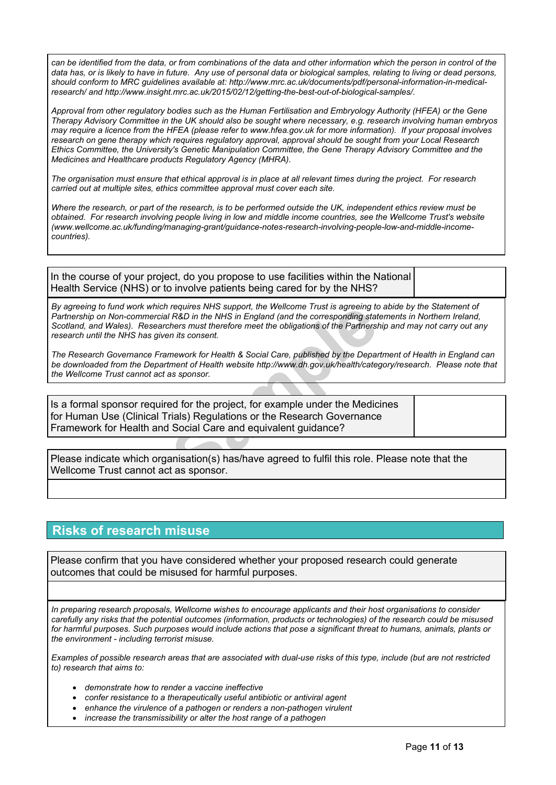can be identified from the data, or from combinations of the data and other information which the person in control of the data has, or is likely to have in future. Any use of personal data or biological samples, relating to living or dead persons, *should conform to MRC guidelines available at: [http://www.mrc.ac.uk/documents/pdf/personal-information-in-medical](http://www.mrc.ac.uk/documents/pdf/personal-information-in-medical-research/)[research/](http://www.mrc.ac.uk/documents/pdf/personal-information-in-medical-research/) and [http://www.insight.mrc.ac.uk/2015/02/12/getting-the-best-out-of-biological-samples/.](http://www.insight.mrc.ac.uk/2015/02/12/getting-the-best-out-of-biological-samples/)*

Approval from other requlatory bodies such as the Human Fertilisation and Embryology Authority (HFEA) or the Gene Therapy Advisory Committee in the UK should also be sought where necessary, e.g. research involving human embryos may require a licence from the HFEA (please refer to [www.hfea.gov.uk](http://www.hfea.gov.uk/) for more information). If your proposal involves *research on gene therapy which requires regulatory approval, approval should be sought from your Local Research Ethics Committee, the University's Genetic Manipulation Committee, the Gene Therapy Advisory Committee and the Medicines and Healthcare products Regulatory Agency (MHRA).*

The organisation must ensure that ethical approval is in place at all relevant times during the project. For research *carried out at multiple sites, ethics committee approval must cover each site.*

Where the research, or part of the research, is to be performed outside the UK, independent ethics review must be obtained. For research involving people living in low and middle income countries, see the Wellcome Trust's website *([www.wellcome.ac.uk/funding/managing-grant/guidance-notes-research-involving-people-low-and-middle-income](http://www.wellcome.ac.uk/funding/managing-grant/guidance-notes-research-involving-people-low-and-middle-income-countries)[countries](http://www.wellcome.ac.uk/funding/managing-grant/guidance-notes-research-involving-people-low-and-middle-income-countries)).*

In the course of your project, do you propose to use facilities within the National Health Service (NHS) or to involve patients being cared for by the NHS?

requires NHS support, the Wellcome Trust is agreeing to<br>
IR&D in the NHS in England (and the corresponding statchers must therefore meet the obligations of the Partnersh<br>
in its consent.<br>
mework for Health & Social Care, p By agreeing to fund work which requires NHS support, the Wellcome Trust is agreeing to abide by the Statement of *Partnership on Non-commercial R&D in the NHS in England (and the corresponding statements in Northern Ireland,* Scotland, and Wales). Researchers must therefore meet the obligations of the Partnership and may not carry out any *research until the NHS has given its consent.*

The Research Governance Framework for Health & Social Care, published by the Department of Health in England can *be downloaded from the Department of Health website [http://www.dh.gov.uk/health/category/research.](http://www.dh.gov.uk/health/category/research/) Please note that the Wellcome Trust cannot act as sponsor.*

Is a formal sponsor required for the project, for example under the Medicines for Human Use (Clinical Trials) Regulations or the Research Governance Framework for Health and Social Care and equivalent guidance?

Please indicate which organisation(s) has/have agreed to fulfil this role. Please note that the Wellcome Trust cannot act as sponsor.

# **Risks of research misuse**

Please confirm that you have considered whether your proposed research could generate outcomes that could be misused for harmful purposes.

*In preparing research proposals, Wellcome wishes to encourage applicants and their host organisations to consider* carefully any risks that the potential outcomes (information, products or technologies) of the research could be misused for harmful purposes. Such purposes would include actions that pose a significant threat to humans, animals, plants or *the environment - including terrorist misuse.*

Examples of possible research areas that are associated with dual-use risks of this type, include (but are not restricted *to) research that aims to:*

- *demonstrate how to render a vaccine ineffective*
- *confer resistance to a therapeutically useful antibiotic or antiviral agent*
- *enhance the virulence of a pathogen or renders a non-pathogen virulent*
- *increase the transmissibility or alter the host range of a pathogen*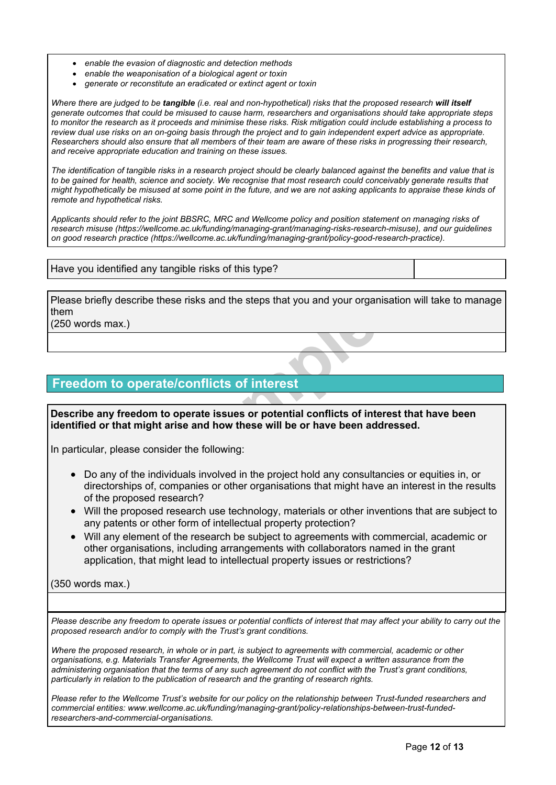- *enable the evasion of diagnostic and detection methods*
- *enable the weaponisation of a biological agent or toxin*
- *generate or reconstitute an eradicated or extinct agent or toxin*

Where there are judged to be tangible (i.e. real and non-hypothetical) risks that the proposed research will itself generate outcomes that could be misused to cause harm, researchers and organisations should take appropriate steps to monitor the research as it proceeds and minimise these risks. Risk mitigation could include establishing a process to review dual use risks on an on-going basis through the project and to gain independent expert advice as appropriate. Researchers should also ensure that all members of their team are aware of these risks in progressing their research. *and receive appropriate education and training on these issues.*

The identification of tangible risks in a research project should be clearly balanced against the benefits and value that is to be gained for health, science and society. We recognise that most research could conceivably generate results that might hypothetically be misused at some point in the future, and we are not asking applicants to appraise these kinds of *remote and hypothetical risks.*

Applicants should refer to the joint BBSRC, MRC and Wellcome policy and position statement on managing risks of *research misuse [\(https://wellcome.ac.uk/funding/managing-grant/managing-risks-research-misuse\)](https://wellcome.ac.uk/funding/managing-grant/managing-risks-research-misuse), and our guidelines on good research practice [\(https://wellcome.ac.uk/funding/managing-grant/policy-good-research-practice\)](https://wellcome.ac.uk/funding/managing-grant/policy-good-research-practice).*

### Have you identified any tangible risks of this type?

Please briefly describe these risks and the steps that you and your organisation will take to manage them

(250 words max.)

# **Freedom to operate/conflicts of interest**

**Example 2**<br> **Sample 2**<br> **Sample 2**<br> **Sample 2**<br> **Sample 2**<br> **Sample 2**<br> **Sample 2**<br> **Sample 2**<br> **Sample 2**<br> **Sample 2**<br> **Sample 2**<br> **Sample 2**<br> **Sample 2**<br> **Sample 2**<br> **Sample 2**<br> **Sample 2**<br> **Sample 2**<br> **Sample 2**<br> **Samp Describe any freedom to operate issues or potential conflicts of interest that have been identified or that might arise and how these will be or have been addressed.**

In particular, please consider the following:

- Do any of the individuals involved in the project hold any consultancies or equities in, or directorships of, companies or other organisations that might have an interest in the results of the proposed research?
- Will the proposed research use technology, materials or other inventions that are subject to any patents or other form of intellectual property protection?
- Will any element of the research be subject to agreements with commercial, academic or other organisations, including arrangements with collaborators named in the grant application, that might lead to intellectual property issues or restrictions?

(350 words max.)

Please describe any freedom to operate issues or potential conflicts of interest that may affect your ability to carry out the *proposed research and/or to comply with the Trust's grant conditions.*

Where the proposed research, in whole or in part, is subject to agreements with commercial, academic or other *organisations, e.g. Materials Transfer Agreements, the Wellcome Trust will expect a written assurance from the* administering organisation that the terms of any such agreement do not conflict with the Trust's grant conditions, *particularly in relation to the publication of research and the granting of research rights.*

Please refer to the Wellcome Trust's website for our policy on the relationship between Trust-funded researchers and *commercial entities: [www.wellcome.ac.uk/funding/managing-grant/policy-relationships-between-trust-funded](http://www.wellcome.ac.uk/funding/managing-grant/policy-relationships-between-trust-funded-researchers-and-commercial-organisations)[researchers-and-commercial-organisations.](http://www.wellcome.ac.uk/funding/managing-grant/policy-relationships-between-trust-funded-researchers-and-commercial-organisations)*